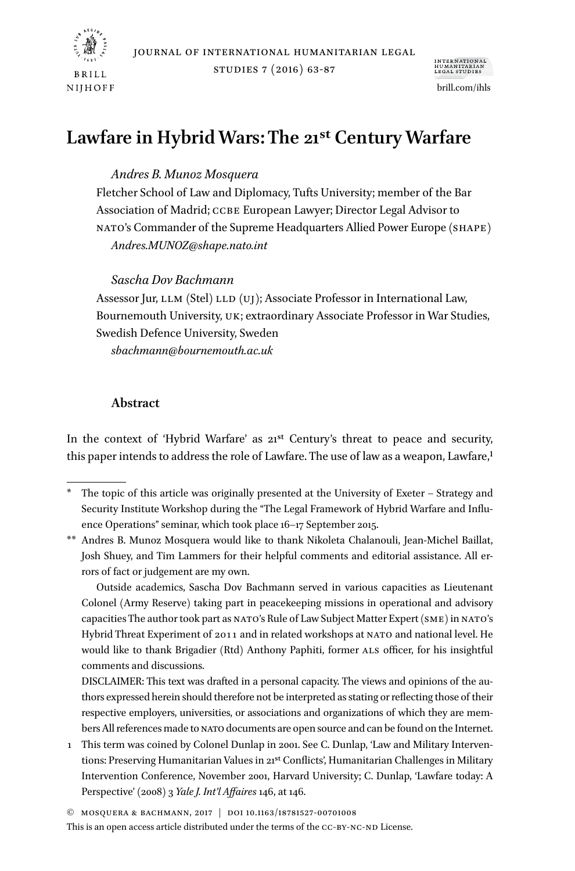

studies 7 (2016) 63-87



# **Lawfare in Hybrid Wars: The 21st Century Warfare**

# *Andres B. Munoz Mosquera*

Fletcher School of Law and Diplomacy, Tufts University; member of the Bar Association of Madrid; ccbe European Lawyer; Director Legal Advisor to nato's Commander of the Supreme Headquarters Allied Power Europe (shape) *Andres.MUNOZ@shape.nato.int*

## *Sascha Dov Bachmann*

Assessor Jur, LLM (Stel) LLD (UJ); Associate Professor in International Law, Bournemouth University, uk; extraordinary Associate Professor in War Studies, Swedish Defence University, Sweden

*sbachmann@bournemouth.ac.uk*

# **Abstract**

In the context of 'Hybrid Warfare' as  $21<sup>st</sup>$  Century's threat to peace and security, this paper intends to address the role of Lawfare. The use of law as a weapon, Lawfare,1

\*\* Andres B. Munoz Mosquera would like to thank Nikoleta Chalanouli, Jean-Michel Baillat, Josh Shuey, and Tim Lammers for their helpful comments and editorial assistance. All errors of fact or judgement are my own.

Outside academics, Sascha Dov Bachmann served in various capacities as Lieutenant Colonel (Army Reserve) taking part in peacekeeping missions in operational and advisory capacities The author took part as NATO's Rule of Law Subject Matter Expert (SME) in NATO's Hybrid Threat Experiment of 2011 and in related workshops at nato and national level. He would like to thank Brigadier (Rtd) Anthony Paphiti, former als officer, for his insightful comments and discussions.

DISCLAIMER: This text was drafted in a personal capacity. The views and opinions of the authors expressed herein should therefore not be interpreted as stating or reflecting those of their respective employers, universities, or associations and organizations of which they are members All references made to nato documents are open source and can be found on the Internet.

1 This term was coined by Colonel Dunlap in 2001. See C. Dunlap, 'Law and Military Interventions: Preserving Humanitarian Values in 21st Conflicts', Humanitarian Challenges in Military Intervention Conference, November 2001, Harvard University; C. Dunlap, 'Lawfare today: A Perspective' (2008) 3 *Yale J. Int'l Affaires* 146, at 146.

<sup>\*</sup> The topic of this article was originally presented at the University of Exeter – Strategy and Security Institute Workshop during the "The Legal Framework of Hybrid Warfare and Influence Operations" seminar, which took place 16–17 September 2015.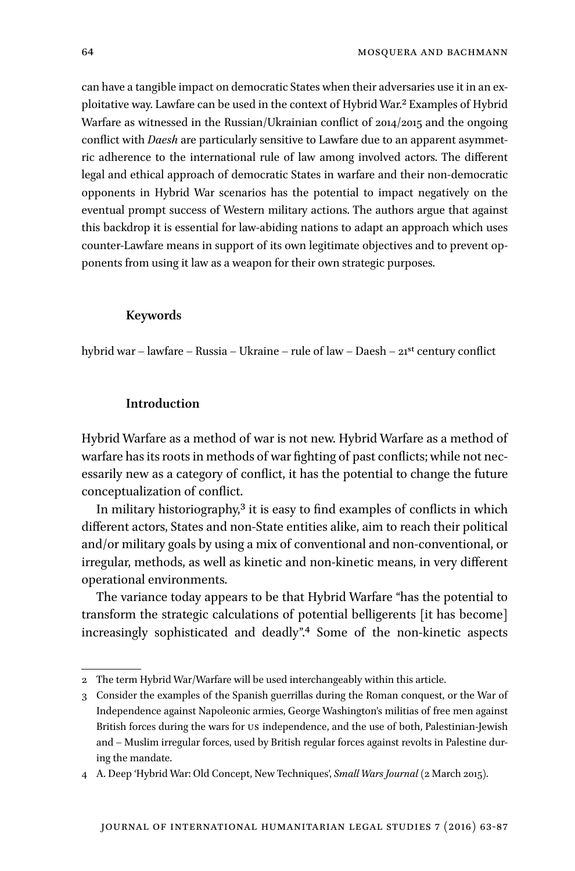can have a tangible impact on democratic States when their adversaries use it in an exploitative way. Lawfare can be used in the context of Hybrid War.2 Examples of Hybrid Warfare as witnessed in the Russian/Ukrainian conflict of 2014/2015 and the ongoing conflict with *Daesh* are particularly sensitive to Lawfare due to an apparent asymmetric adherence to the international rule of law among involved actors. The different legal and ethical approach of democratic States in warfare and their non-democratic opponents in Hybrid War scenarios has the potential to impact negatively on the eventual prompt success of Western military actions. The authors argue that against this backdrop it is essential for law-abiding nations to adapt an approach which uses counter-Lawfare means in support of its own legitimate objectives and to prevent opponents from using it law as a weapon for their own strategic purposes.

#### **Keywords**

hybrid war – lawfare – Russia – Ukraine – rule of law – Daesh – 21st century conflict

# **Introduction**

Hybrid Warfare as a method of war is not new. Hybrid Warfare as a method of warfare has its roots in methods of war fighting of past conflicts; while not necessarily new as a category of conflict, it has the potential to change the future conceptualization of conflict.

In military historiography, $3$  it is easy to find examples of conflicts in which different actors, States and non-State entities alike, aim to reach their political and/or military goals by using a mix of conventional and non-conventional, or irregular, methods, as well as kinetic and non-kinetic means, in very different operational environments.

The variance today appears to be that Hybrid Warfare "has the potential to transform the strategic calculations of potential belligerents [it has become] increasingly sophisticated and deadly".4 Some of the non-kinetic aspects

<sup>2</sup> The term Hybrid War/Warfare will be used interchangeably within this article.

<sup>3</sup> Consider the examples of the Spanish guerrillas during the Roman conquest, or the War of Independence against Napoleonic armies, George Washington's militias of free men against British forces during the wars for us independence, and the use of both, Palestinian-Jewish and – Muslim irregular forces, used by British regular forces against revolts in Palestine during the mandate.

<sup>4</sup> A. Deep 'Hybrid War: Old Concept, New Techniques', *Small Wars Journal* (2 March 2015).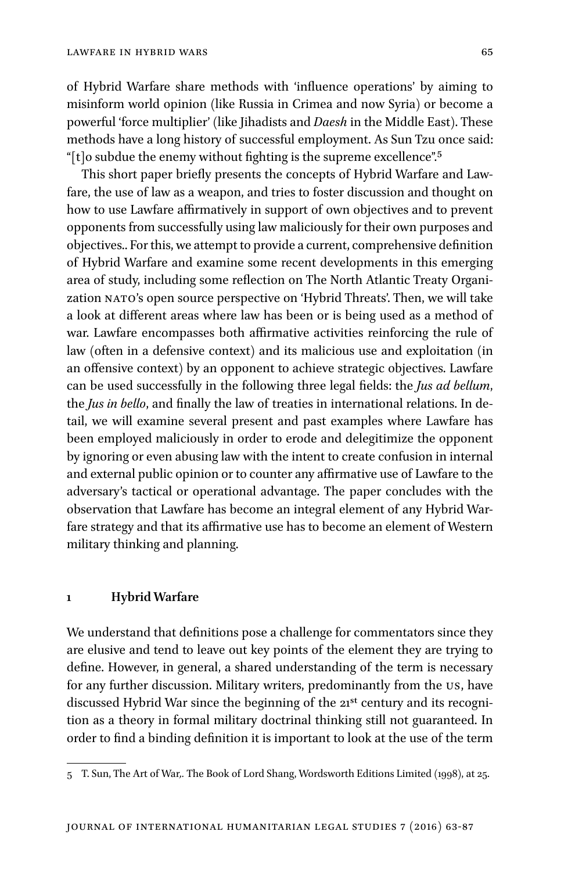of Hybrid Warfare share methods with 'influence operations' by aiming to misinform world opinion (like Russia in Crimea and now Syria) or become a powerful 'force multiplier' (like Jihadists and *Daesh* in the Middle East). These methods have a long history of successful employment. As Sun Tzu once said: "[t]o subdue the enemy without fighting is the supreme excellence".5

This short paper briefly presents the concepts of Hybrid Warfare and Lawfare, the use of law as a weapon, and tries to foster discussion and thought on how to use Lawfare affirmatively in support of own objectives and to prevent opponents from successfully using law maliciously for their own purposes and objectives.. For this, we attempt to provide a current, comprehensive definition of Hybrid Warfare and examine some recent developments in this emerging area of study, including some reflection on The North Atlantic Treaty Organization NATO's open source perspective on 'Hybrid Threats'. Then, we will take a look at different areas where law has been or is being used as a method of war. Lawfare encompasses both affirmative activities reinforcing the rule of law (often in a defensive context) and its malicious use and exploitation (in an offensive context) by an opponent to achieve strategic objectives. Lawfare can be used successfully in the following three legal fields: the *Jus ad bellum*, the *Jus in bello*, and finally the law of treaties in international relations. In detail, we will examine several present and past examples where Lawfare has been employed maliciously in order to erode and delegitimize the opponent by ignoring or even abusing law with the intent to create confusion in internal and external public opinion or to counter any affirmative use of Lawfare to the adversary's tactical or operational advantage. The paper concludes with the observation that Lawfare has become an integral element of any Hybrid Warfare strategy and that its affirmative use has to become an element of Western military thinking and planning.

#### **1 Hybrid Warfare**

We understand that definitions pose a challenge for commentators since they are elusive and tend to leave out key points of the element they are trying to define. However, in general, a shared understanding of the term is necessary for any further discussion. Military writers, predominantly from the us, have discussed Hybrid War since the beginning of the 21<sup>st</sup> century and its recognition as a theory in formal military doctrinal thinking still not guaranteed. In order to find a binding definition it is important to look at the use of the term

<sup>5</sup> T. Sun, The Art of War*,.* The Book of Lord Shang, Wordsworth Editions Limited (1998), at 25.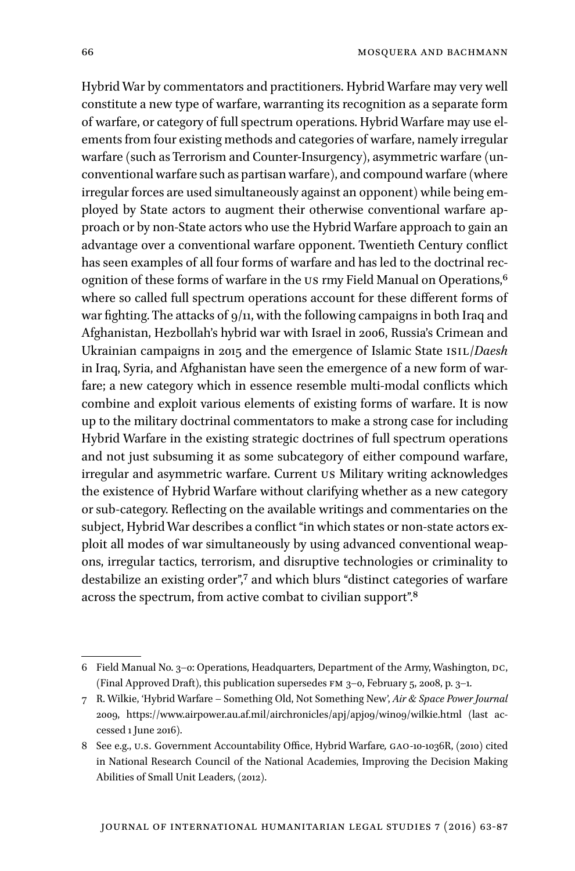Hybrid War by commentators and practitioners. Hybrid Warfare may very well constitute a new type of warfare, warranting its recognition as a separate form of warfare, or category of full spectrum operations. Hybrid Warfare may use elements from four existing methods and categories of warfare, namely irregular warfare (such as Terrorism and Counter-Insurgency), asymmetric warfare (unconventional warfare such as partisan warfare), and compound warfare (where irregular forces are used simultaneously against an opponent) while being employed by State actors to augment their otherwise conventional warfare approach or by non-State actors who use the Hybrid Warfare approach to gain an advantage over a conventional warfare opponent. Twentieth Century conflict has seen examples of all four forms of warfare and has led to the doctrinal recognition of these forms of warfare in the US rmy Field Manual on Operations,<sup>6</sup> where so called full spectrum operations account for these different forms of war fighting. The attacks of  $9/11$ , with the following campaigns in both Iraq and Afghanistan, Hezbollah's hybrid war with Israel in 2006, Russia's Crimean and Ukrainian campaigns in 2015 and the emergence of Islamic State isil/*Daesh* in Iraq, Syria, and Afghanistan have seen the emergence of a new form of warfare; a new category which in essence resemble multi-modal conflicts which combine and exploit various elements of existing forms of warfare. It is now up to the military doctrinal commentators to make a strong case for including Hybrid Warfare in the existing strategic doctrines of full spectrum operations and not just subsuming it as some subcategory of either compound warfare, irregular and asymmetric warfare. Current us Military writing acknowledges the existence of Hybrid Warfare without clarifying whether as a new category or sub-category. Reflecting on the available writings and commentaries on the subject, Hybrid War describes a conflict "in which states or non-state actors exploit all modes of war simultaneously by using advanced conventional weapons, irregular tactics, terrorism, and disruptive technologies or criminality to destabilize an existing order",<sup>7</sup> and which blurs "distinct categories of warfare across the spectrum, from active combat to civilian support".8

<sup>6</sup> Field Manual No. 3-0: Operations, Headquarters, Department of the Army, Washington, DC, (Final Approved Draft), this publication supersedes fm 3–0, February 5, 2008, p. 3–1.

<sup>7</sup> R. Wilkie, 'Hybrid Warfare – Something Old, Not Something New', *Air & Space Power Journal* 2009, https://www.airpower.au.af.mil/airchronicles/apj/apj09/win09/wilkie.html (last accessed 1 June 2016).

<sup>8</sup> See e.g., u.s. Government Accountability Office, Hybrid Warfare*,* gao-10-1036R, (2010) cited in National Research Council of the National Academies, Improving the Decision Making Abilities of Small Unit Leaders, (2012).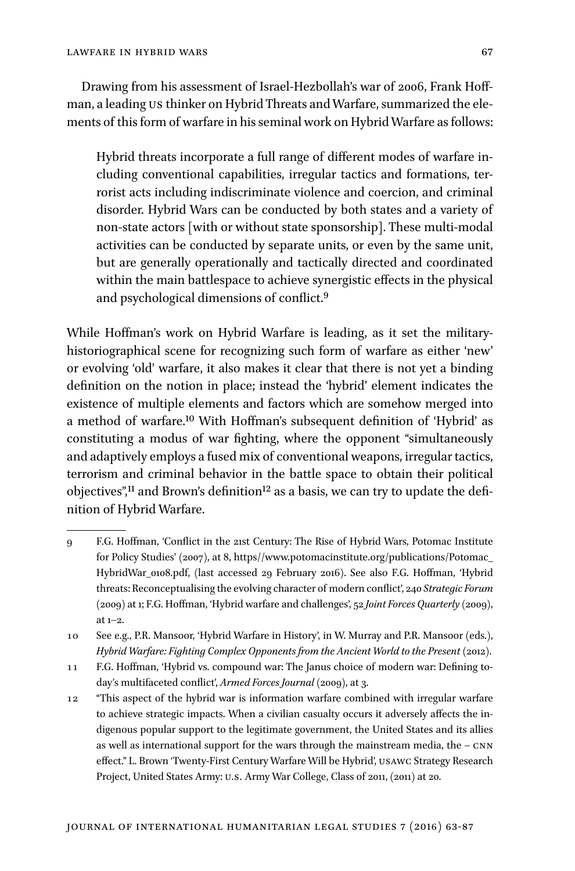Drawing from his assessment of Israel-Hezbollah's war of 2006, Frank Hoffman, a leading us thinker on Hybrid Threats and Warfare, summarized the elements of this form of warfare in his seminal work on Hybrid Warfare as follows:

Hybrid threats incorporate a full range of different modes of warfare including conventional capabilities, irregular tactics and formations, terrorist acts including indiscriminate violence and coercion, and criminal disorder. Hybrid Wars can be conducted by both states and a variety of non-state actors [with or without state sponsorship]. These multi-modal activities can be conducted by separate units, or even by the same unit, but are generally operationally and tactically directed and coordinated within the main battlespace to achieve synergistic effects in the physical and psychological dimensions of conflict.9

While Hoffman's work on Hybrid Warfare is leading, as it set the militaryhistoriographical scene for recognizing such form of warfare as either 'new' or evolving 'old' warfare, it also makes it clear that there is not yet a binding definition on the notion in place; instead the 'hybrid' element indicates the existence of multiple elements and factors which are somehow merged into a method of warfare.10 With Hoffman's subsequent definition of 'Hybrid' as constituting a modus of war fighting, where the opponent "simultaneously and adaptively employs a fused mix of conventional weapons, irregular tactics, terrorism and criminal behavior in the battle space to obtain their political objectives",<sup>11</sup> and Brown's definition<sup>12</sup> as a basis, we can try to update the definition of Hybrid Warfare.

- 9 F.G. Hoffman, 'Conflict in the 21st Century: The Rise of Hybrid Wars, Potomac Institute for Policy Studies' (2007), at 8, https//www.potomacinstitute.org/publications/Potomac\_ HybridWar\_0108.pdf, (last accessed 29 February 2016). See also F.G. Hoffman, 'Hybrid threats: Reconceptualising the evolving character of modern conflict', 240 *Strategic Forum* (2009) at 1; F.G. Hoffman, 'Hybrid warfare and challenges', 52 *Joint Forces Quarterly* (2009), at 1–2.
- 10 See e.g., P.R. Mansoor, 'Hybrid Warfare in History', in W. Murray and P.R. Mansoor (eds.), *Hybrid Warfare: Fighting Complex Opponents from the Ancient World to the Present* (2012).
- 11 F.G. Hoffman, 'Hybrid vs. compound war: The Janus choice of modern war: Defining today's multifaceted conflict', *Armed Forces Journal* (2009), at 3.
- 12 "This aspect of the hybrid war is information warfare combined with irregular warfare to achieve strategic impacts. When a civilian casualty occurs it adversely affects the indigenous popular support to the legitimate government, the United States and its allies as well as international support for the wars through the mainstream media, the  $-$  CNN effect." L. Brown 'Twenty-First Century Warfare Will be Hybrid', usawc Strategy Research Project, United States Army: u.s. Army War College, Class of 2011, (2011) at 20.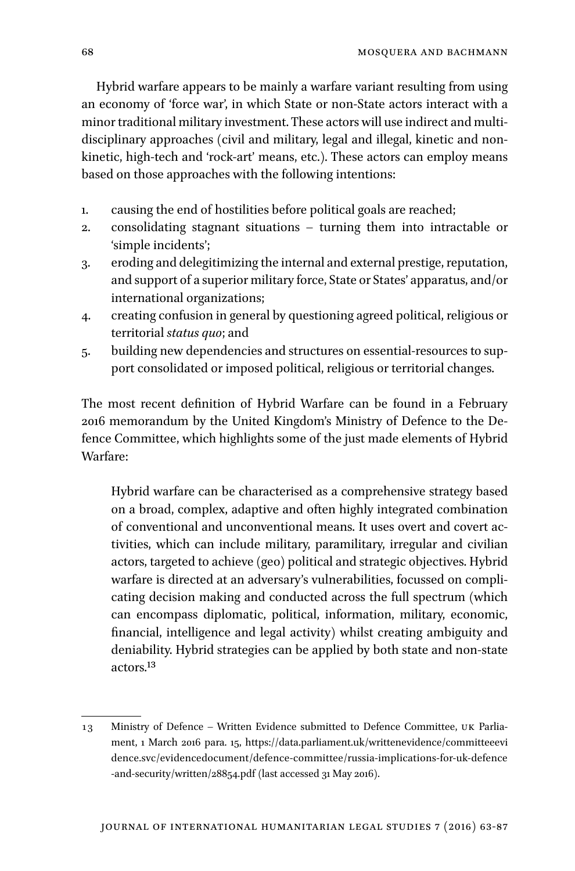Hybrid warfare appears to be mainly a warfare variant resulting from using an economy of 'force war', in which State or non-State actors interact with a minor traditional military investment. These actors will use indirect and multidisciplinary approaches (civil and military, legal and illegal, kinetic and nonkinetic, high-tech and 'rock-art' means, etc.). These actors can employ means based on those approaches with the following intentions:

- 1. causing the end of hostilities before political goals are reached;
- 2. consolidating stagnant situations turning them into intractable or 'simple incidents';
- 3. eroding and delegitimizing the internal and external prestige, reputation, and support of a superior military force, State or States' apparatus, and/or international organizations;
- 4. creating confusion in general by questioning agreed political, religious or territorial *status quo*; and
- 5. building new dependencies and structures on essential-resources to support consolidated or imposed political, religious or territorial changes.

The most recent definition of Hybrid Warfare can be found in a February 2016 memorandum by the United Kingdom's Ministry of Defence to the Defence Committee, which highlights some of the just made elements of Hybrid Warfare:

Hybrid warfare can be characterised as a comprehensive strategy based on a broad, complex, adaptive and often highly integrated combination of conventional and unconventional means. It uses overt and covert activities, which can include military, paramilitary, irregular and civilian actors, targeted to achieve (geo) political and strategic objectives. Hybrid warfare is directed at an adversary's vulnerabilities, focussed on complicating decision making and conducted across the full spectrum (which can encompass diplomatic, political, information, military, economic, financial, intelligence and legal activity) whilst creating ambiguity and deniability. Hybrid strategies can be applied by both state and non-state actors.13

<sup>13</sup> Ministry of Defence – Written Evidence submitted to Defence Committee, uk Parliament, 1 March 2016 para. 15, https://data.parliament.uk/writtenevidence/committeeevi dence.svc/evidencedocument/defence-committee/russia-implications-for-uk-defence -and-security/written/28854.pdf (last accessed 31 May 2016).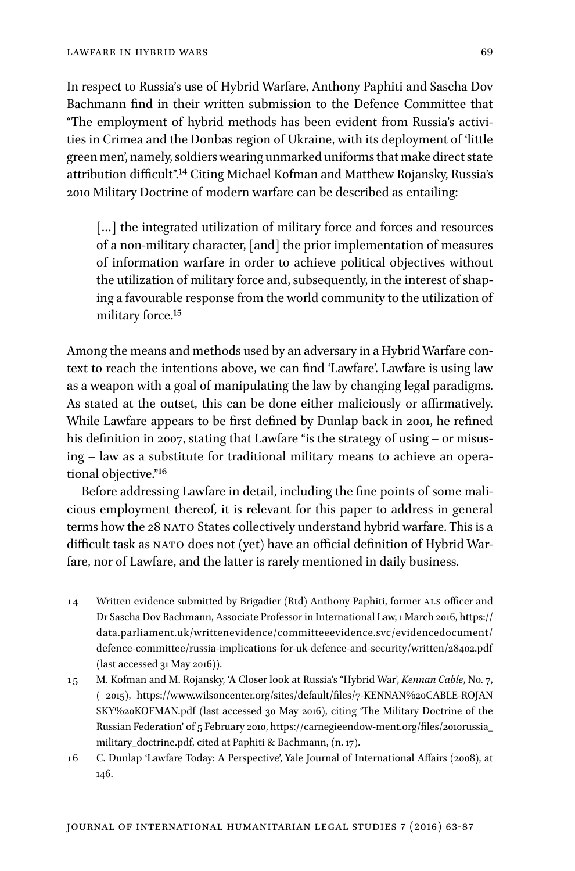In respect to Russia's use of Hybrid Warfare, Anthony Paphiti and Sascha Dov Bachmann find in their written submission to the Defence Committee that "The employment of hybrid methods has been evident from Russia's activities in Crimea and the Donbas region of Ukraine, with its deployment of 'little green men', namely, soldiers wearing unmarked uniforms that make direct state attribution difficult".14 Citing Michael Kofman and Matthew Rojansky, Russia's 2010 Military Doctrine of modern warfare can be described as entailing:

[...] the integrated utilization of military force and forces and resources of a non-military character, [and] the prior implementation of measures of information warfare in order to achieve political objectives without the utilization of military force and, subsequently, in the interest of shaping a favourable response from the world community to the utilization of military force.15

Among the means and methods used by an adversary in a Hybrid Warfare context to reach the intentions above, we can find 'Lawfare'. Lawfare is using law as a weapon with a goal of manipulating the law by changing legal paradigms. As stated at the outset, this can be done either maliciously or affirmatively. While Lawfare appears to be first defined by Dunlap back in 2001, he refined his definition in 2007, stating that Lawfare "is the strategy of using – or misusing – law as a substitute for traditional military means to achieve an operational objective."16

Before addressing Lawfare in detail, including the fine points of some malicious employment thereof, it is relevant for this paper to address in general terms how the 28 NATO States collectively understand hybrid warfare. This is a difficult task as NATO does not (yet) have an official definition of Hybrid Warfare, nor of Lawfare, and the latter is rarely mentioned in daily business.

<sup>14</sup> Written evidence submitted by Brigadier (Rtd) Anthony Paphiti, former als officer and Dr Sascha Dov Bachmann, Associate Professor in International Law, 1 March 2016, https:// data.parliament.uk/writtenevidence/committeeevidence.svc/evidencedocument/ defence-committee/russia-implications-for-uk-defence-and-security/written/28402.pdf (last accessed 31 May 2016)).

<sup>15</sup> M. Kofman and M. Rojansky, 'A Closer look at Russia's "Hybrid War', *Kennan Cable*, No. 7, ( 2015), https://www.wilsoncenter.org/sites/default/files/7-KENNAN%20CABLE-ROJAN SKY%20KOFMAN.pdf (last accessed 30 May 2016), citing 'The Military Doctrine of the Russian Federation' of 5 February 2010, https://carnegieendow-ment.org/files/2010russia\_ military\_doctrine.pdf, cited at Paphiti & Bachmann, (n. 17).

<sup>16</sup> C. Dunlap 'Lawfare Today: A Perspective', Yale Journal of International Affairs (2008), at 146.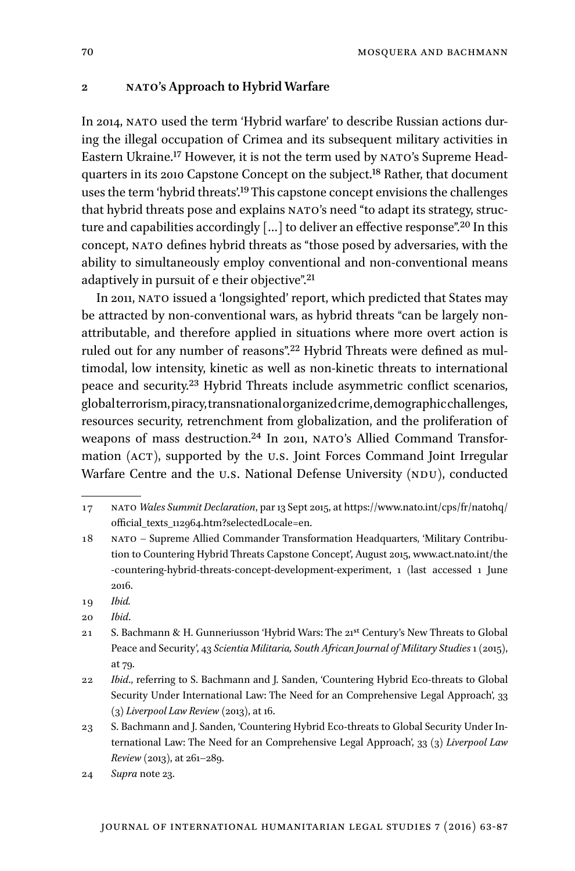#### **2 nato's Approach to Hybrid Warfare**

In 2014, NATO used the term 'Hybrid warfare' to describe Russian actions during the illegal occupation of Crimea and its subsequent military activities in Eastern Ukraine.<sup>17</sup> However, it is not the term used by NATO's Supreme Headquarters in its 2010 Capstone Concept on the subject.18 Rather, that document uses the term 'hybrid threats'.19 This capstone concept envisions the challenges that hybrid threats pose and explains NATO's need "to adapt its strategy, structure and capabilities accordingly  $\left[\ldots\right]$  to deliver an effective response".<sup>20</sup> In this concept, nato defines hybrid threats as "those posed by adversaries, with the ability to simultaneously employ conventional and non-conventional means adaptively in pursuit of e their objective".21

In 2011, nato issued a 'longsighted' report, which predicted that States may be attracted by non-conventional wars, as hybrid threats "can be largely nonattributable, and therefore applied in situations where more overt action is ruled out for any number of reasons".22 Hybrid Threats were defined as multimodal, low intensity, kinetic as well as non-kinetic threats to international peace and security.23 Hybrid Threats include asymmetric conflict scenarios, global terrorism, piracy, transnational organized crime, demographic challenges, resources security, retrenchment from globalization, and the proliferation of weapons of mass destruction.<sup>24</sup> In 2011, NATO's Allied Command Transformation (ACT), supported by the U.S. Joint Forces Command Joint Irregular Warfare Centre and the U.S. National Defense University (NDU), conducted

- 18 nato Supreme Allied Commander Transformation Headquarters, 'Military Contribution to Countering Hybrid Threats Capstone Concept', August 2015, www.act.nato.int/the -countering-hybrid-threats-concept-development-experiment, 1 (last accessed 1 June 2016.
- 19 *Ibid.*
- 20 *Ibid*.
- 21 S. Bachmann & H. Gunneriusson 'Hybrid Wars: The 21st Century's New Threats to Global Peace and Security', 43 *Scientia Militaria, South African Journal of Military Studies* 1 (2015), at 79.
- 22 *Ibid*., referring to S. Bachmann and J. Sanden, 'Countering Hybrid Eco-threats to Global Security Under International Law: The Need for an Comprehensive Legal Approach', 33 (3) *Liverpool Law Review* (2013), at 16.
- 23 S. Bachmann and J. Sanden, 'Countering Hybrid Eco-threats to Global Security Under International Law: The Need for an Comprehensive Legal Approach', 33 (3) *Liverpool Law Review* (2013), at 261–289.
- 24 *Supra* note 23.

<sup>17</sup> nato *Wales Summit Declaration*, par 13 Sept 2015, at https://www.nato.int/cps/fr/natohq/ official\_texts\_112964.htm?selectedLocale=en.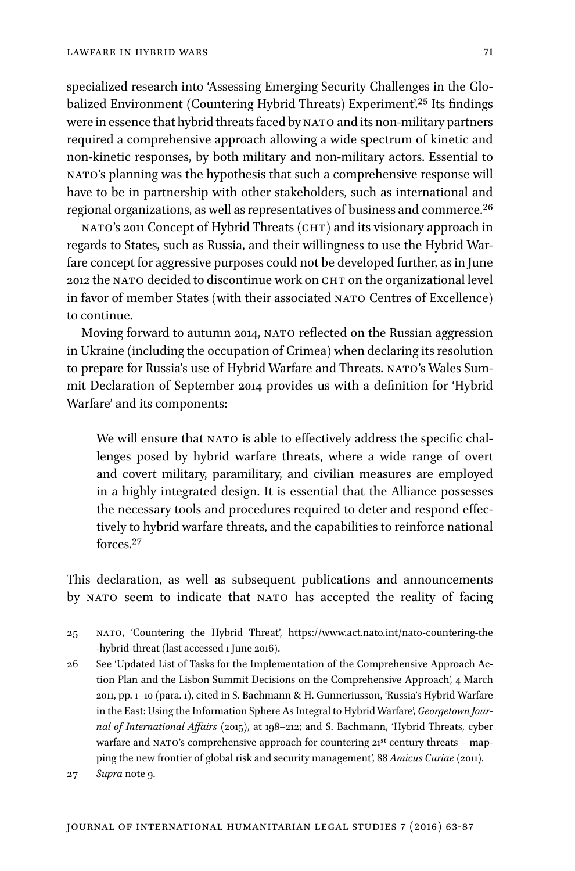specialized research into 'Assessing Emerging Security Challenges in the Globalized Environment (Countering Hybrid Threats) Experiment'.<sup>25</sup> Its findings were in essence that hybrid threats faced by NATO and its non-military partners required a comprehensive approach allowing a wide spectrum of kinetic and non-kinetic responses, by both military and non-military actors. Essential to nato's planning was the hypothesis that such a comprehensive response will have to be in partnership with other stakeholders, such as international and regional organizations, as well as representatives of business and commerce.26

NATO's 2011 Concept of Hybrid Threats (CHT) and its visionary approach in regards to States, such as Russia, and their willingness to use the Hybrid Warfare concept for aggressive purposes could not be developed further, as in June 2012 the NATO decided to discontinue work on CHT on the organizational level in favor of member States (with their associated NATO Centres of Excellence) to continue.

Moving forward to autumn 2014, NATO reflected on the Russian aggression in Ukraine (including the occupation of Crimea) when declaring its resolution to prepare for Russia's use of Hybrid Warfare and Threats. NATO's Wales Summit Declaration of September 2014 provides us with a definition for 'Hybrid Warfare' and its components:

We will ensure that NATO is able to effectively address the specific challenges posed by hybrid warfare threats, where a wide range of overt and covert military, paramilitary, and civilian measures are employed in a highly integrated design. It is essential that the Alliance possesses the necessary tools and procedures required to deter and respond effectively to hybrid warfare threats, and the capabilities to reinforce national forces.27

This declaration, as well as subsequent publications and announcements by NATO seem to indicate that NATO has accepted the reality of facing

<sup>25</sup> nato, 'Countering the Hybrid Threat', https://www.act.nato.int/nato-countering-the -hybrid-threat (last accessed 1 June 2016).

<sup>26</sup> See 'Updated List of Tasks for the Implementation of the Comprehensive Approach Action Plan and the Lisbon Summit Decisions on the Comprehensive Approach', 4 March 2011, pp. 1–10 (para. 1), cited in S. Bachmann & H. Gunneriusson, 'Russia's Hybrid Warfare in the East: Using the Information Sphere As Integral to Hybrid Warfare', *Georgetown Journal of International Affairs* (2015), at 198–212; and S. Bachmann, 'Hybrid Threats, cyber warfare and NATO's comprehensive approach for countering  $21^{st}$  century threats – mapping the new frontier of global risk and security management', 88 *Amicus Curiae* (2011).

<sup>27</sup> *Supra* note 9.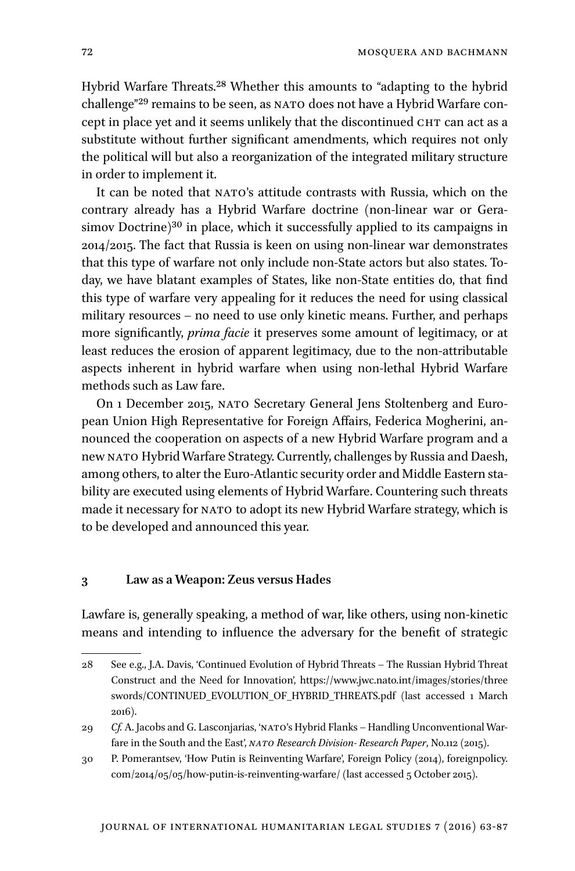Hybrid Warfare Threats.<sup>28</sup> Whether this amounts to "adapting to the hybrid challenge"<sup>29</sup> remains to be seen, as NATO does not have a Hybrid Warfare concept in place yet and it seems unlikely that the discontinued CHT can act as a substitute without further significant amendments, which requires not only the political will but also a reorganization of the integrated military structure in order to implement it.

It can be noted that NATO's attitude contrasts with Russia, which on the contrary already has a Hybrid Warfare doctrine (non-linear war or Gerasimov Doctrine)<sup>30</sup> in place, which it successfully applied to its campaigns in 2014/2015. The fact that Russia is keen on using non-linear war demonstrates that this type of warfare not only include non-State actors but also states. Today, we have blatant examples of States, like non-State entities do, that find this type of warfare very appealing for it reduces the need for using classical military resources – no need to use only kinetic means. Further, and perhaps more significantly, *prima facie* it preserves some amount of legitimacy, or at least reduces the erosion of apparent legitimacy, due to the non-attributable aspects inherent in hybrid warfare when using non-lethal Hybrid Warfare methods such as Law fare.

On 1 December 2015, nato Secretary General Jens Stoltenberg and European Union High Representative for Foreign Affairs, Federica Mogherini, announced the cooperation on aspects of a new Hybrid Warfare program and a new nato Hybrid Warfare Strategy. Currently, challenges by Russia and Daesh, among others, to alter the Euro-Atlantic security order and Middle Eastern stability are executed using elements of Hybrid Warfare. Countering such threats made it necessary for NATO to adopt its new Hybrid Warfare strategy, which is to be developed and announced this year.

#### **3 Law as a Weapon: Zeus versus Hades**

Lawfare is, generally speaking, a method of war, like others, using non-kinetic means and intending to influence the adversary for the benefit of strategic

<sup>28</sup> See e.g., J.A. Davis, 'Continued Evolution of Hybrid Threats – The Russian Hybrid Threat Construct and the Need for Innovation', https://www.jwc.nato.int/images/stories/three swords/CONTINUED\_EVOLUTION\_OF\_HYBRID\_THREATS.pdf (last accessed 1 March 2016).

<sup>29</sup> *Cf.* A. Jacobs and G. Lasconjarias, 'NATO's Hybrid Flanks – Handling Unconventional Warfare in the South and the East', *NATO Research Division-Research Paper*, No.112 (2015).

<sup>30</sup> P. Pomerantsev, 'How Putin is Reinventing Warfare', Foreign Policy (2014), foreignpolicy. com/2014/05/05/how-putin-is-reinventing-warfare/ (last accessed 5 October 2015).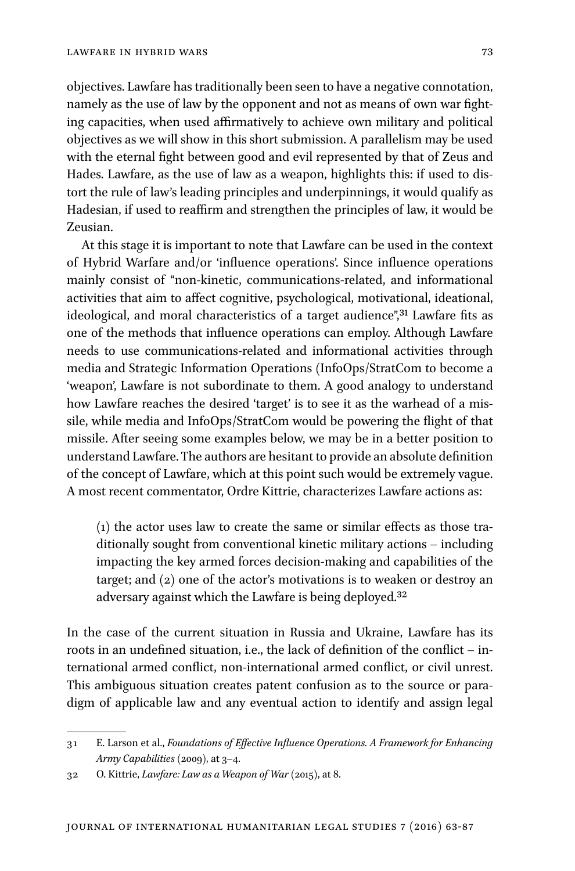objectives. Lawfare has traditionally been seen to have a negative connotation, namely as the use of law by the opponent and not as means of own war fighting capacities, when used affirmatively to achieve own military and political objectives as we will show in this short submission. A parallelism may be used with the eternal fight between good and evil represented by that of Zeus and Hades. Lawfare, as the use of law as a weapon, highlights this: if used to distort the rule of law's leading principles and underpinnings, it would qualify as Hadesian, if used to reaffirm and strengthen the principles of law, it would be Zeusian.

At this stage it is important to note that Lawfare can be used in the context of Hybrid Warfare and/or 'influence operations'. Since influence operations mainly consist of "non-kinetic, communications-related, and informational activities that aim to affect cognitive, psychological, motivational, ideational, ideological, and moral characteristics of a target audience",<sup>31</sup> Lawfare fits as one of the methods that influence operations can employ. Although Lawfare needs to use communications-related and informational activities through media and Strategic Information Operations (InfoOps/StratCom to become a 'weapon', Lawfare is not subordinate to them. A good analogy to understand how Lawfare reaches the desired 'target' is to see it as the warhead of a missile, while media and InfoOps/StratCom would be powering the flight of that missile. After seeing some examples below, we may be in a better position to understand Lawfare. The authors are hesitant to provide an absolute definition of the concept of Lawfare, which at this point such would be extremely vague. A most recent commentator, Ordre Kittrie, characterizes Lawfare actions as:

(1) the actor uses law to create the same or similar effects as those traditionally sought from conventional kinetic military actions – including impacting the key armed forces decision-making and capabilities of the target; and (2) one of the actor's motivations is to weaken or destroy an adversary against which the Lawfare is being deployed.32

In the case of the current situation in Russia and Ukraine, Lawfare has its roots in an undefined situation, i.e., the lack of definition of the conflict – international armed conflict, non-international armed conflict, or civil unrest. This ambiguous situation creates patent confusion as to the source or paradigm of applicable law and any eventual action to identify and assign legal

<sup>31</sup> E. Larson et al., *Foundations of Effective Influence Operations. A Framework for Enhancing Army Capabilities* (2009), at 3–4.

<sup>32</sup> O. Kittrie, *Lawfare: Law as a Weapon of War* (2015), at 8.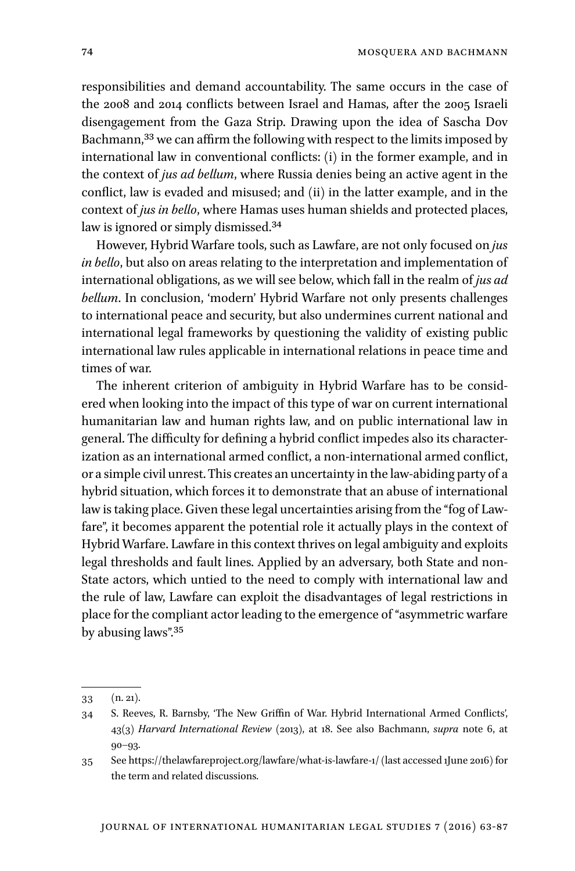responsibilities and demand accountability. The same occurs in the case of the 2008 and 2014 conflicts between Israel and Hamas, after the 2005 Israeli disengagement from the Gaza Strip. Drawing upon the idea of Sascha Dov Bachmann,33 we can affirm the following with respect to the limits imposed by international law in conventional conflicts: (i) in the former example, and in the context of *jus ad bellum*, where Russia denies being an active agent in the conflict, law is evaded and misused; and (ii) in the latter example, and in the context of *jus in bello*, where Hamas uses human shields and protected places, law is ignored or simply dismissed.<sup>34</sup>

However, Hybrid Warfare tools, such as Lawfare, are not only focused on *jus in bello*, but also on areas relating to the interpretation and implementation of international obligations, as we will see below, which fall in the realm of *jus ad bellum*. In conclusion, 'modern' Hybrid Warfare not only presents challenges to international peace and security, but also undermines current national and international legal frameworks by questioning the validity of existing public international law rules applicable in international relations in peace time and times of war.

The inherent criterion of ambiguity in Hybrid Warfare has to be considered when looking into the impact of this type of war on current international humanitarian law and human rights law, and on public international law in general. The difficulty for defining a hybrid conflict impedes also its characterization as an international armed conflict, a non-international armed conflict, or a simple civil unrest. This creates an uncertainty in the law-abiding party of a hybrid situation, which forces it to demonstrate that an abuse of international law is taking place. Given these legal uncertainties arising from the "fog of Lawfare", it becomes apparent the potential role it actually plays in the context of Hybrid Warfare. Lawfare in this context thrives on legal ambiguity and exploits legal thresholds and fault lines. Applied by an adversary, both State and non-State actors, which untied to the need to comply with international law and the rule of law, Lawfare can exploit the disadvantages of legal restrictions in place for the compliant actor leading to the emergence of "asymmetric warfare by abusing laws".35

<sup>33</sup> (n. 21).

<sup>34</sup> S. Reeves, R. Barnsby, 'The New Griffin of War. Hybrid International Armed Conflicts', 43(3) *Harvard International Review* (2013), at 18. See also Bachmann, *supra* note 6, at 90–93.

<sup>35</sup> See https://thelawfareproject.org/lawfare/what-is-lawfare-1/ (last accessed 1June 2016) for the term and related discussions.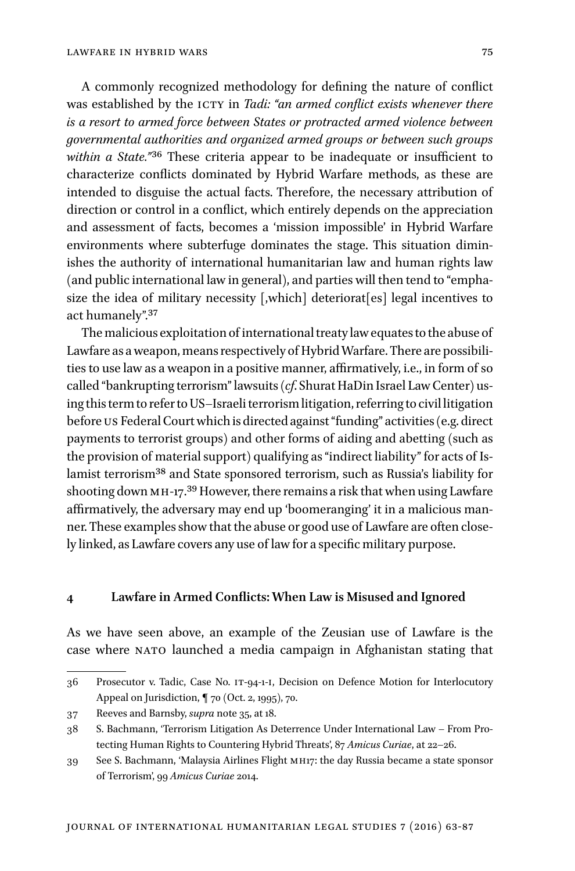A commonly recognized methodology for defining the nature of conflict was established by the ICTY in *Tadi: "an armed conflict exists whenever there is a resort to armed force between States or protracted armed violence between governmental authorities and organized armed groups or between such groups within a State."*36 These criteria appear to be inadequate or insufficient to characterize conflicts dominated by Hybrid Warfare methods, as these are intended to disguise the actual facts. Therefore, the necessary attribution of direction or control in a conflict, which entirely depends on the appreciation and assessment of facts, becomes a 'mission impossible' in Hybrid Warfare environments where subterfuge dominates the stage. This situation diminishes the authority of international humanitarian law and human rights law (and public international law in general), and parties will then tend to "emphasize the idea of military necessity [,which] deteriorat[es] legal incentives to act humanely".37

The malicious exploitation of international treaty law equates to the abuse of Lawfare as a weapon, means respectively of Hybrid Warfare. There are possibilities to use law as a weapon in a positive manner, affirmatively, i.e., in form of so called "bankrupting terrorism" lawsuits (*cf*. Shurat HaDin Israel Law Center) using this term to refer to US–Israeli terrorism litigation, referring to civil litigation before us Federal Court which is directed against "funding" activities (e.g. direct payments to terrorist groups) and other forms of aiding and abetting (such as the provision of material support) qualifying as "indirect liability" for acts of Islamist terrorism38 and State sponsored terrorism, such as Russia's liability for shooting down MH-17.<sup>39</sup> However, there remains a risk that when using Lawfare affirmatively, the adversary may end up 'boomeranging' it in a malicious manner. These examples show that the abuse or good use of Lawfare are often closely linked, as Lawfare covers any use of law for a specific military purpose.

#### **4 Lawfare in Armed Conflicts: When Law is Misused and Ignored**

As we have seen above, an example of the Zeusian use of Lawfare is the case where NATO launched a media campaign in Afghanistan stating that

<sup>36</sup> Prosecutor v. Tadic, Case No. it-94-1-i, Decision on Defence Motion for Interlocutory Appeal on Jurisdiction, ¶ 70 (Oct. 2, 1995), 70.

<sup>37</sup> Reeves and Barnsby, *supra* note 35, at 18.

<sup>38</sup> S. Bachmann, 'Terrorism Litigation As Deterrence Under International Law – From Protecting Human Rights to Countering Hybrid Threats', 87 *Amicus Curiae*, at 22–26.

<sup>39</sup> See S. Bachmann, 'Malaysia Airlines Flight mh17: the day Russia became a state sponsor of Terrorism', 99 *Amicus Curiae* 2014.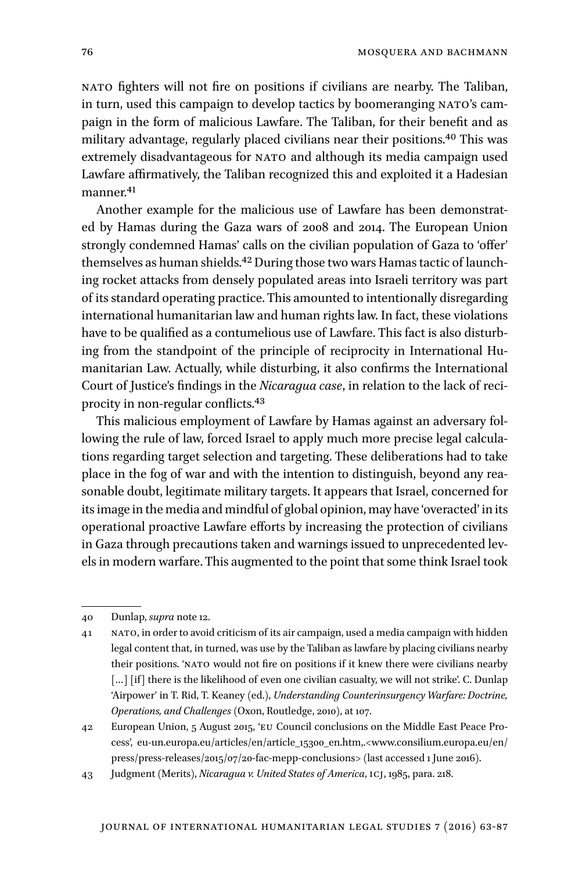nato fighters will not fire on positions if civilians are nearby. The Taliban, in turn, used this campaign to develop tactics by boomeranging NATO's campaign in the form of malicious Lawfare. The Taliban, for their benefit and as military advantage, regularly placed civilians near their positions.40 This was extremely disadvantageous for NATO and although its media campaign used Lawfare affirmatively, the Taliban recognized this and exploited it a Hadesian manner.41

Another example for the malicious use of Lawfare has been demonstrated by Hamas during the Gaza wars of 2008 and 2014. The European Union strongly condemned Hamas' calls on the civilian population of Gaza to 'offer' themselves as human shields.<sup>42</sup> During those two wars Hamas tactic of launching rocket attacks from densely populated areas into Israeli territory was part of its standard operating practice. This amounted to intentionally disregarding international humanitarian law and human rights law. In fact, these violations have to be qualified as a contumelious use of Lawfare. This fact is also disturbing from the standpoint of the principle of reciprocity in International Humanitarian Law. Actually, while disturbing, it also confirms the International Court of Justice's findings in the *Nicaragua case*, in relation to the lack of reciprocity in non-regular conflicts.43

This malicious employment of Lawfare by Hamas against an adversary following the rule of law, forced Israel to apply much more precise legal calculations regarding target selection and targeting. These deliberations had to take place in the fog of war and with the intention to distinguish, beyond any reasonable doubt, legitimate military targets. It appears that Israel, concerned for its image in the media and mindful of global opinion, may have 'overacted' in its operational proactive Lawfare efforts by increasing the protection of civilians in Gaza through precautions taken and warnings issued to unprecedented levels in modern warfare. This augmented to the point that some think Israel took

<sup>40</sup> Dunlap, *supra* note 12.

<sup>41</sup> nato, in order to avoid criticism of its air campaign, used a media campaign with hidden legal content that, in turned, was use by the Taliban as lawfare by placing civilians nearby their positions. 'NATO would not fire on positions if it knew there were civilians nearby [...] [if] there is the likelihood of even one civilian casualty, we will not strike'. C. Dunlap 'Airpower' in T. Rid, T. Keaney (ed.), *Understanding Counterinsurgency Warfare: Doctrine, Operations, and Challenges* (Oxon, Routledge, 2010), at 107.

<sup>42</sup> European Union, 5 August 2015, 'eu Council conclusions on the Middle East Peace Process', eu-un.europa.eu/articles/en/article\_15300\_en.htm,.<www.consilium.europa.eu/en/ press/press-releases/2015/07/20-fac-mepp-conclusions> (last accessed 1 June 2016).

<sup>43</sup> Judgment (Merits), *Nicaragua v. United States of America*, icj, 1985, para. 218.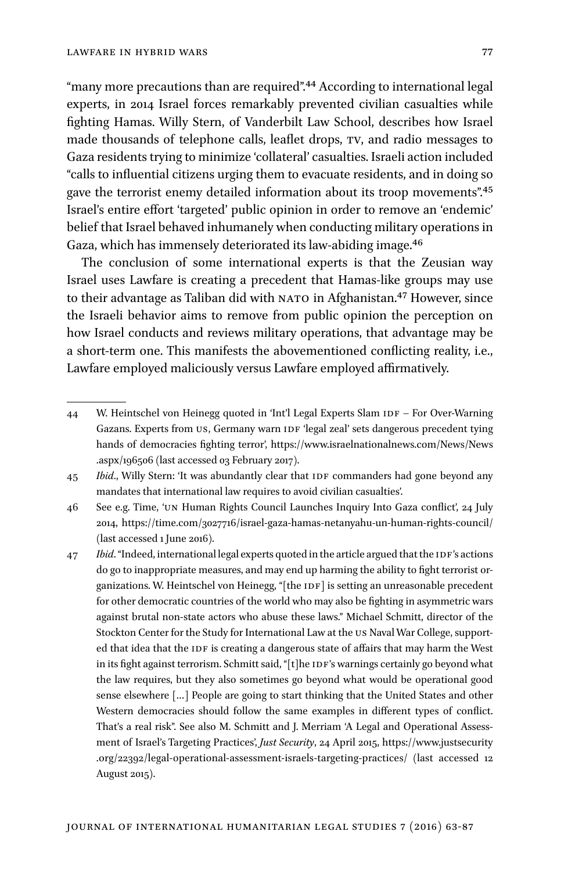"many more precautions than are required".<sup>44</sup> According to international legal experts, in 2014 Israel forces remarkably prevented civilian casualties while fighting Hamas. Willy Stern, of Vanderbilt Law School, describes how Israel made thousands of telephone calls, leaflet drops, tv, and radio messages to Gaza residents trying to minimize 'collateral' casualties. Israeli action included "calls to influential citizens urging them to evacuate residents, and in doing so gave the terrorist enemy detailed information about its troop movements".45 Israel's entire effort 'targeted' public opinion in order to remove an 'endemic' belief that Israel behaved inhumanely when conducting military operations in Gaza, which has immensely deteriorated its law-abiding image.46

The conclusion of some international experts is that the Zeusian way Israel uses Lawfare is creating a precedent that Hamas-like groups may use to their advantage as Taliban did with NATO in Afghanistan.<sup>47</sup> However, since the Israeli behavior aims to remove from public opinion the perception on how Israel conducts and reviews military operations, that advantage may be a short-term one. This manifests the abovementioned conflicting reality, i.e., Lawfare employed maliciously versus Lawfare employed affirmatively.

46 See e.g. Time, 'un Human Rights Council Launches Inquiry Into Gaza conflict', 24 July 2014, https://time.com/3027716/israel-gaza-hamas-netanyahu-un-human-rights-council/ (last accessed 1 June 2016).

47 *Ibid.* "Indeed, international legal experts quoted in the article argued that the IDF's actions do go to inappropriate measures, and may end up harming the ability to fight terrorist organizations. W. Heintschel von Heinegg, "[the IDF] is setting an unreasonable precedent for other democratic countries of the world who may also be fighting in asymmetric wars against brutal non-state actors who abuse these laws." Michael Schmitt, director of the Stockton Center for the Study for International Law at the US Naval War College, supported that idea that the IDF is creating a dangerous state of affairs that may harm the West in its fight against terrorism. Schmitt said, "[t]he IDF's warnings certainly go beyond what the law requires, but they also sometimes go beyond what would be operational good sense elsewhere […] People are going to start thinking that the United States and other Western democracies should follow the same examples in different types of conflict. That's a real risk". See also M. Schmitt and J. Merriam 'A Legal and Operational Assessment of Israel's Targeting Practices', *Just Security*, 24 April 2015, https://www.justsecurity .org/22392/legal-operational-assessment-israels-targeting-practices/ (last accessed 12 August 2015).

<sup>44</sup> W. Heintschel von Heinegg quoted in 'Int'l Legal Experts Slam IDF – For Over-Warning Gazans. Experts from US, Germany warn IDF 'legal zeal' sets dangerous precedent tying hands of democracies fighting terror', https://www.israelnationalnews.com/News/News .aspx/196506 (last accessed 03 February 2017).

<sup>45</sup> *Ibid.*, Willy Stern: 'It was abundantly clear that IDF commanders had gone beyond any mandates that international law requires to avoid civilian casualties'.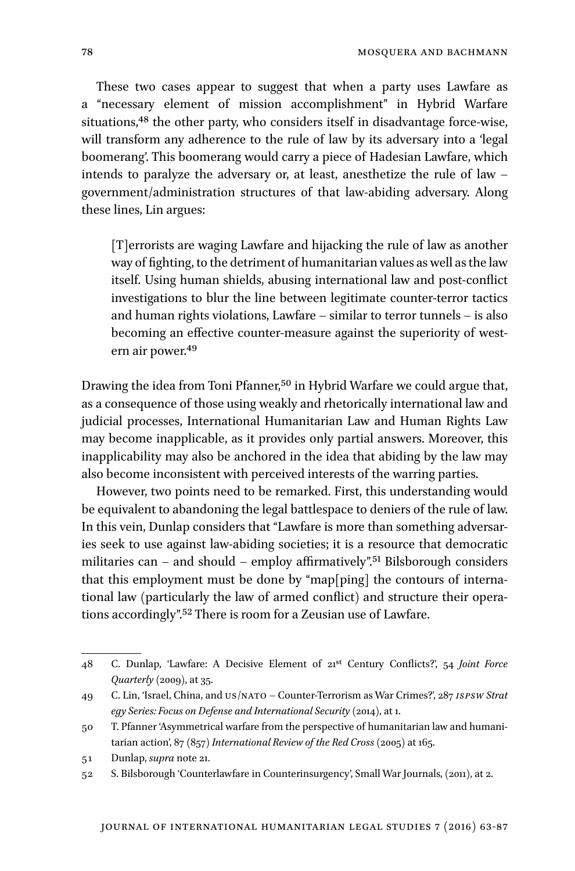These two cases appear to suggest that when a party uses Lawfare as a "necessary element of mission accomplishment" in Hybrid Warfare situations,<sup>48</sup> the other party, who considers itself in disadvantage force-wise, will transform any adherence to the rule of law by its adversary into a 'legal boomerang'. This boomerang would carry a piece of Hadesian Lawfare, which intends to paralyze the adversary or, at least, anesthetize the rule of law – government/administration structures of that law-abiding adversary. Along these lines, Lin argues:

[T]errorists are waging Lawfare and hijacking the rule of law as another way of fighting, to the detriment of humanitarian values as well as the law itself. Using human shields, abusing international law and post-conflict investigations to blur the line between legitimate counter-terror tactics and human rights violations, Lawfare – similar to terror tunnels – is also becoming an effective counter-measure against the superiority of western air power.49

Drawing the idea from Toni Pfanner,<sup>50</sup> in Hybrid Warfare we could argue that, as a consequence of those using weakly and rhetorically international law and judicial processes, International Humanitarian Law and Human Rights Law may become inapplicable, as it provides only partial answers. Moreover, this inapplicability may also be anchored in the idea that abiding by the law may also become inconsistent with perceived interests of the warring parties.

However, two points need to be remarked. First, this understanding would be equivalent to abandoning the legal battlespace to deniers of the rule of law. In this vein, Dunlap considers that "Lawfare is more than something adversaries seek to use against law-abiding societies; it is a resource that democratic militaries can – and should – employ affirmatively".<sup>51</sup> Bilsborough considers that this employment must be done by "map[ping] the contours of international law (particularly the law of armed conflict) and structure their operations accordingly".52 There is room for a Zeusian use of Lawfare.

<sup>48</sup> C. Dunlap, 'Lawfare: A Decisive Element of 21st Century Conflicts?', 54 *Joint Force Quarterly* (2009), at 35.

<sup>49</sup> C. Lin, 'Israel, China, and us/nato – Counter-Terrorism as War Crimes?', 287 *ispsw Strat egy Series: Focus on Defense and International Security* (2014), at 1.

<sup>50</sup> T. Pfanner 'Asymmetrical warfare from the perspective of humanitarian law and humanitarian action', 87 (857) *International Review of the Red Cross* (2005) at 165.

<sup>51</sup> Dunlap, *supra* note 21.

<sup>52</sup> S. Bilsborough 'Counterlawfare in Counterinsurgency', Small War Journals, (2011), at 2.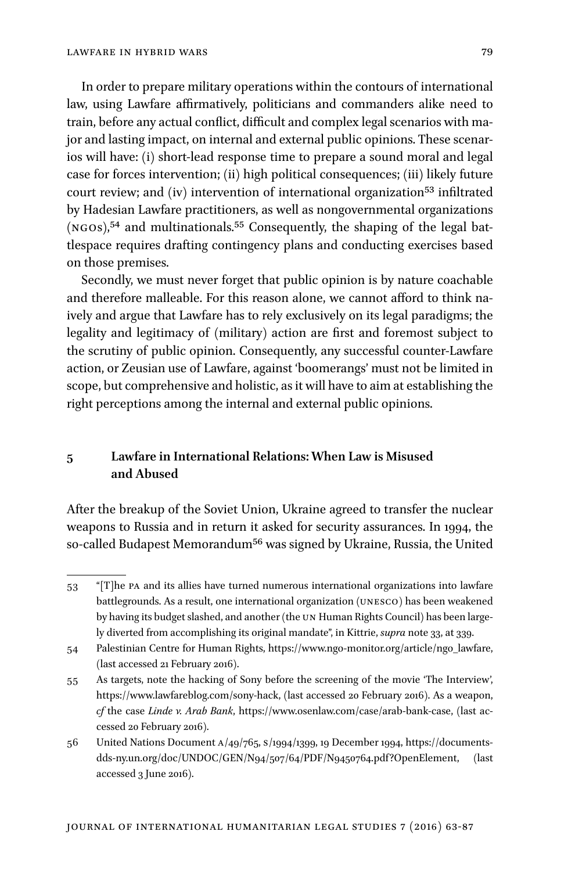In order to prepare military operations within the contours of international law, using Lawfare affirmatively, politicians and commanders alike need to train, before any actual conflict, difficult and complex legal scenarios with major and lasting impact, on internal and external public opinions. These scenarios will have: (i) short-lead response time to prepare a sound moral and legal case for forces intervention; (ii) high political consequences; (iii) likely future court review; and (iv) intervention of international organization<sup>53</sup> infiltrated by Hadesian Lawfare practitioners, as well as nongovernmental organizations (ngos),54 and multinationals.55 Consequently, the shaping of the legal battlespace requires drafting contingency plans and conducting exercises based on those premises.

Secondly, we must never forget that public opinion is by nature coachable and therefore malleable. For this reason alone, we cannot afford to think naively and argue that Lawfare has to rely exclusively on its legal paradigms; the legality and legitimacy of (military) action are first and foremost subject to the scrutiny of public opinion. Consequently, any successful counter-Lawfare action, or Zeusian use of Lawfare, against 'boomerangs' must not be limited in scope, but comprehensive and holistic, as it will have to aim at establishing the right perceptions among the internal and external public opinions.

# **5 Lawfare in International Relations: When Law is Misused and Abused**

After the breakup of the Soviet Union, Ukraine agreed to transfer the nuclear weapons to Russia and in return it asked for security assurances. In 1994, the so-called Budapest Memorandum<sup>56</sup> was signed by Ukraine, Russia, the United

<sup>53</sup> "[T]he pa and its allies have turned numerous international organizations into lawfare battlegrounds. As a result, one international organization (unesco) has been weakened by having its budget slashed, and another (the un Human Rights Council) has been largely diverted from accomplishing its original mandate", in Kittrie, *supra* note 33, at 339.

<sup>54</sup> Palestinian Centre for Human Rights, https://www.ngo-monitor.org/article/ngo\_lawfare, (last accessed 21 February 2016).

<sup>55</sup> As targets, note the hacking of Sony before the screening of the movie 'The Interview', https://www.lawfareblog.com/sony-hack, (last accessed 20 February 2016). As a weapon, *cf* the case *Linde v. Arab Bank*, https://www.osenlaw.com/case/arab-bank-case, (last accessed 20 February 2016).

<sup>56</sup> United Nations Document a/49/765, s/1994/1399, 19 December 1994, https://documentsdds-ny.un.org/doc/UNDOC/GEN/N94/507/64/PDF/N9450764.pdf?OpenElement, (last accessed 3 June 2016).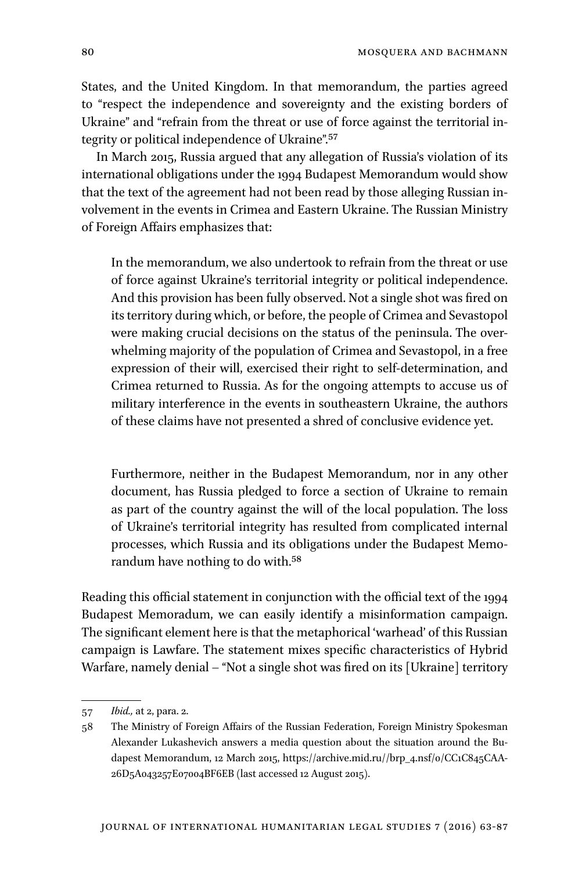States, and the United Kingdom. In that memorandum, the parties agreed to "respect the independence and sovereignty and the existing borders of Ukraine" and "refrain from the threat or use of force against the territorial integrity or political independence of Ukraine".57

In March 2015, Russia argued that any allegation of Russia's violation of its international obligations under the 1994 Budapest Memorandum would show that the text of the agreement had not been read by those alleging Russian involvement in the events in Crimea and Eastern Ukraine. The Russian Ministry of Foreign Affairs emphasizes that:

In the memorandum, we also undertook to refrain from the threat or use of force against Ukraine's territorial integrity or political independence. And this provision has been fully observed. Not a single shot was fired on its territory during which, or before, the people of Crimea and Sevastopol were making crucial decisions on the status of the peninsula. The overwhelming majority of the population of Crimea and Sevastopol, in a free expression of their will, exercised their right to self-determination, and Crimea returned to Russia. As for the ongoing attempts to accuse us of military interference in the events in southeastern Ukraine, the authors of these claims have not presented a shred of conclusive evidence yet.

Furthermore, neither in the Budapest Memorandum, nor in any other document, has Russia pledged to force a section of Ukraine to remain as part of the country against the will of the local population. The loss of Ukraine's territorial integrity has resulted from complicated internal processes, which Russia and its obligations under the Budapest Memorandum have nothing to do with.58

Reading this official statement in conjunction with the official text of the 1994 Budapest Memoradum, we can easily identify a misinformation campaign. The significant element here is that the metaphorical 'warhead' of this Russian campaign is Lawfare. The statement mixes specific characteristics of Hybrid Warfare, namely denial – "Not a single shot was fired on its [Ukraine] territory

<sup>57</sup> *Ibid.,* at 2, para. 2.

<sup>58</sup> The Ministry of Foreign Affairs of the Russian Federation, Foreign Ministry Spokesman Alexander Lukashevich answers a media question about the situation around the Budapest Memorandum, 12 March 2015, https://archive.mid.ru//brp\_4.nsf/0/CC1C845CAA-26D5A043257E07004BF6EB (last accessed 12 August 2015).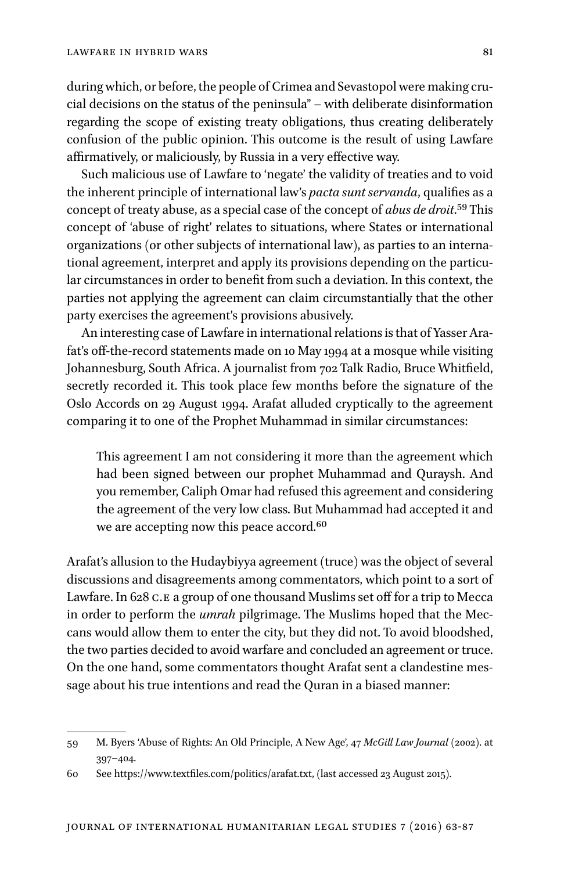during which, or before, the people of Crimea and Sevastopol were making crucial decisions on the status of the peninsula" – with deliberate disinformation regarding the scope of existing treaty obligations, thus creating deliberately confusion of the public opinion. This outcome is the result of using Lawfare affirmatively, or maliciously, by Russia in a very effective way.

Such malicious use of Lawfare to 'negate' the validity of treaties and to void the inherent principle of international law's *pacta sunt servanda*, qualifies as a concept of treaty abuse, as a special case of the concept of *abus de droit*.59 This concept of 'abuse of right' relates to situations, where States or international organizations (or other subjects of international law), as parties to an international agreement, interpret and apply its provisions depending on the particular circumstances in order to benefit from such a deviation. In this context, the parties not applying the agreement can claim circumstantially that the other party exercises the agreement's provisions abusively.

An interesting case of Lawfare in international relations is that of Yasser Arafat's off-the-record statements made on 10 May 1994 at a mosque while visiting Johannesburg, South Africa. A journalist from 702 Talk Radio, Bruce Whitfield, secretly recorded it. This took place few months before the signature of the Oslo Accords on 29 August 1994. Arafat alluded cryptically to the agreement comparing it to one of the Prophet Muhammad in similar circumstances:

This agreement I am not considering it more than the agreement which had been signed between our prophet Muhammad and Quraysh. And you remember, Caliph Omar had refused this agreement and considering the agreement of the very low class. But Muhammad had accepted it and we are accepting now this peace accord.<sup>60</sup>

Arafat's allusion to the Hudaybiyya agreement (truce) was the object of several discussions and disagreements among commentators, which point to a sort of Lawfare. In 628 C.E a group of one thousand Muslims set off for a trip to Mecca in order to perform the *umrah* pilgrimage. The Muslims hoped that the Meccans would allow them to enter the city, but they did not. To avoid bloodshed, the two parties decided to avoid warfare and concluded an agreement or truce. On the one hand, some commentators thought Arafat sent a clandestine message about his true intentions and read the Quran in a biased manner:

<sup>59</sup> M. Byers 'Abuse of Rights: An Old Principle, A New Age', 47 *McGill Law Journal* (2002). at 397–404.

<sup>60</sup> See https://www.textfiles.com/politics/arafat.txt, (last accessed 23 August 2015).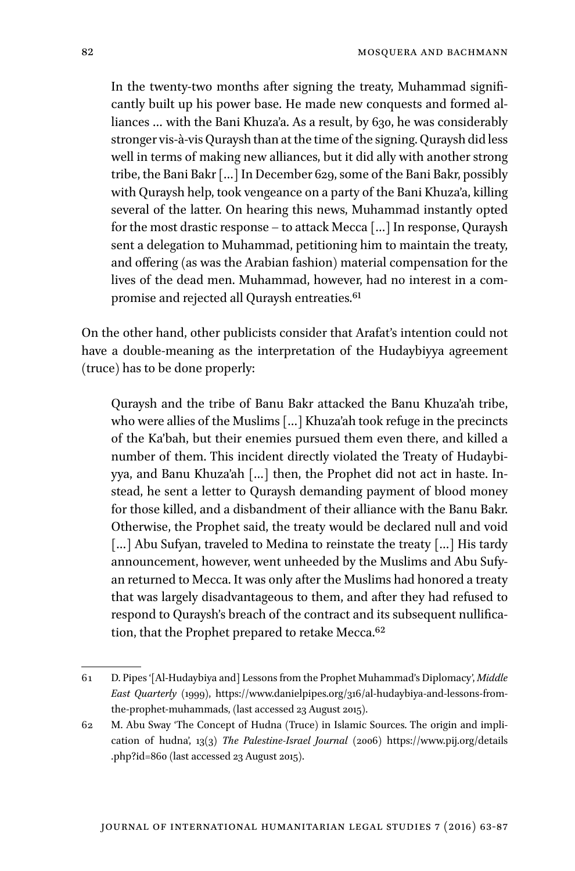In the twenty-two months after signing the treaty, Muhammad significantly built up his power base. He made new conquests and formed alliances ... with the Bani Khuza'a. As a result, by 630, he was considerably stronger vis-à-vis Quraysh than at the time of the signing. Quraysh did less well in terms of making new alliances, but it did ally with another strong tribe, the Bani Bakr […] In December 629, some of the Bani Bakr, possibly with Quraysh help, took vengeance on a party of the Bani Khuza'a, killing several of the latter. On hearing this news, Muhammad instantly opted for the most drastic response – to attack Mecca […] In response, Quraysh sent a delegation to Muhammad, petitioning him to maintain the treaty, and offering (as was the Arabian fashion) material compensation for the lives of the dead men. Muhammad, however, had no interest in a compromise and rejected all Quraysh entreaties.<sup>61</sup>

On the other hand, other publicists consider that Arafat's intention could not have a double-meaning as the interpretation of the Hudaybiyya agreement (truce) has to be done properly:

Quraysh and the tribe of Banu Bakr attacked the Banu Khuza'ah tribe, who were allies of the Muslims […] Khuza'ah took refuge in the precincts of the Ka'bah, but their enemies pursued them even there, and killed a number of them. This incident directly violated the Treaty of Hudaybiyya, and Banu Khuza'ah […] then, the Prophet did not act in haste. Instead, he sent a letter to Quraysh demanding payment of blood money for those killed, and a disbandment of their alliance with the Banu Bakr. Otherwise, the Prophet said, the treaty would be declared null and void [...] Abu Sufyan, traveled to Medina to reinstate the treaty [...] His tardy announcement, however, went unheeded by the Muslims and Abu Sufyan returned to Mecca. It was only after the Muslims had honored a treaty that was largely disadvantageous to them, and after they had refused to respond to Quraysh's breach of the contract and its subsequent nullification, that the Prophet prepared to retake Mecca.<sup>62</sup>

<sup>61</sup> D. Pipes '[Al-Hudaybiya and] Lessons from the Prophet Muhammad's Diplomacy', *Middle East Quarterly* (1999), https://www.danielpipes.org/316/al-hudaybiya-and-lessons-fromthe-prophet-muhammads, (last accessed 23 August 2015).

<sup>62</sup> M. Abu Sway 'The Concept of Hudna (Truce) in Islamic Sources. The origin and implication of hudna', 13(3) *The Palestine-Israel Journal* (2006) https://www.pij.org/details .php?id=860 (last accessed 23 August 2015).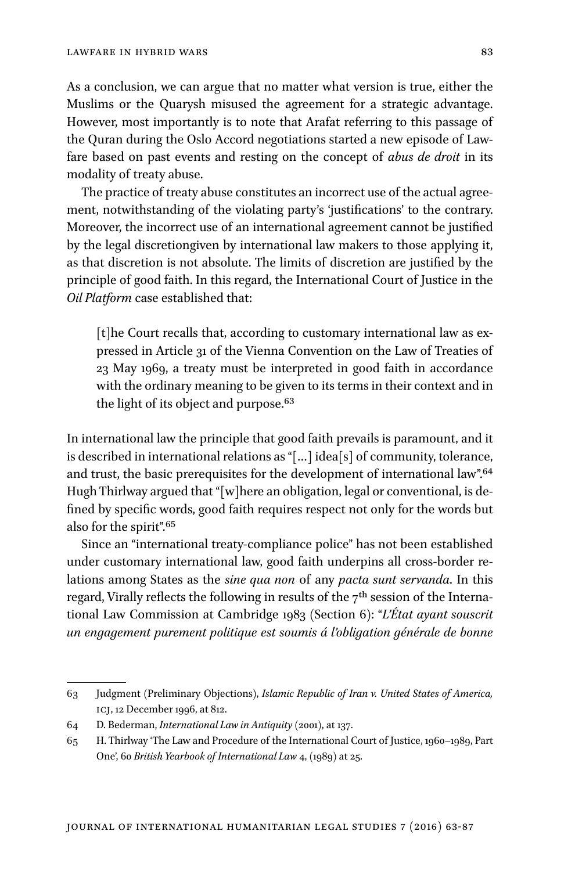As a conclusion, we can argue that no matter what version is true, either the Muslims or the Quarysh misused the agreement for a strategic advantage. However, most importantly is to note that Arafat referring to this passage of the Quran during the Oslo Accord negotiations started a new episode of Lawfare based on past events and resting on the concept of *abus de droit* in its modality of treaty abuse.

The practice of treaty abuse constitutes an incorrect use of the actual agreement, notwithstanding of the violating party's 'justifications' to the contrary. Moreover, the incorrect use of an international agreement cannot be justified by the legal discretiongiven by international law makers to those applying it, as that discretion is not absolute. The limits of discretion are justified by the principle of good faith. In this regard, the International Court of Justice in the *Oil Platform* case established that:

[t]he Court recalls that, according to customary international law as expressed in Article 31 of the Vienna Convention on the Law of Treaties of 23 May 1969, a treaty must be interpreted in good faith in accordance with the ordinary meaning to be given to its terms in their context and in the light of its object and purpose.<sup>63</sup>

In international law the principle that good faith prevails is paramount, and it is described in international relations as "[…] idea[s] of community, tolerance, and trust, the basic prerequisites for the development of international law".64 Hugh Thirlway argued that "[w]here an obligation, legal or conventional, is defined by specific words, good faith requires respect not only for the words but also for the spirit".65

Since an "international treaty-compliance police" has not been established under customary international law, good faith underpins all cross-border relations among States as the *sine qua non* of any *pacta sunt servanda*. In this regard, Virally reflects the following in results of the  $7<sup>th</sup>$  session of the International Law Commission at Cambridge 1983 (Section 6): "*L'État ayant souscrit un engagement purement politique est soumis á l'obligation générale de bonne* 

<sup>63</sup> Judgment (Preliminary Objections), *Islamic Republic of Iran v. United States of America,* icj, 12 December 1996, at 812.

<sup>64</sup> D. Bederman, *International Law in Antiquity* (2001), at 137.

<sup>65</sup> H. Thirlway 'The Law and Procedure of the International Court of Justice, 1960–1989, Part One', 60 *British Yearbook of International Law* 4, (1989) at 25.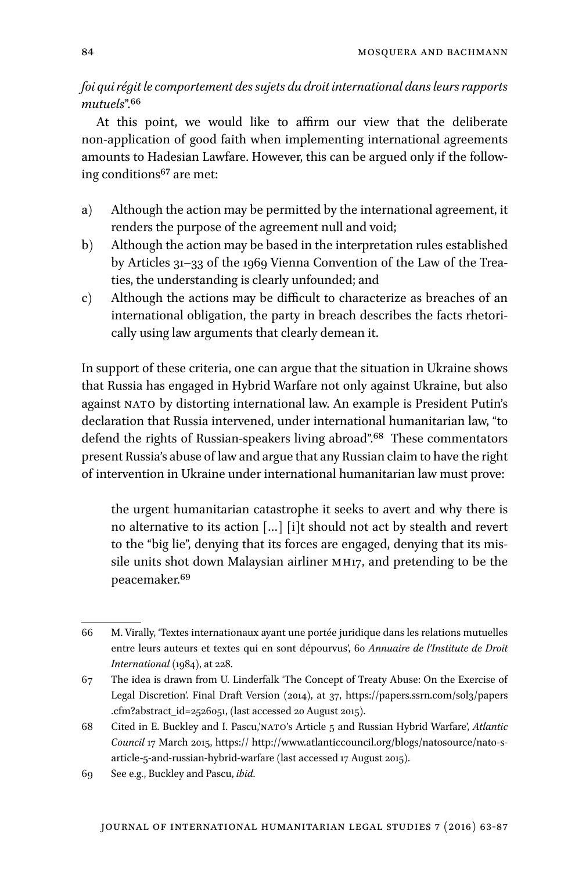*foi qui régit le comportement des sujets du droit international dans leurs rapports mutuels*".66

At this point, we would like to affirm our view that the deliberate non-application of good faith when implementing international agreements amounts to Hadesian Lawfare. However, this can be argued only if the following conditions<sup>67</sup> are met:

- a) Although the action may be permitted by the international agreement, it renders the purpose of the agreement null and void;
- b) Although the action may be based in the interpretation rules established by Articles 31–33 of the 1969 Vienna Convention of the Law of the Treaties, the understanding is clearly unfounded; and
- c) Although the actions may be difficult to characterize as breaches of an international obligation, the party in breach describes the facts rhetorically using law arguments that clearly demean it.

In support of these criteria, one can argue that the situation in Ukraine shows that Russia has engaged in Hybrid Warfare not only against Ukraine, but also against NATO by distorting international law. An example is President Putin's declaration that Russia intervened, under international humanitarian law, "to defend the rights of Russian-speakers living abroad".<sup>68</sup> These commentators present Russia's abuse of law and argue that any Russian claim to have the right of intervention in Ukraine under international humanitarian law must prove:

the urgent humanitarian catastrophe it seeks to avert and why there is no alternative to its action […] [i]t should not act by stealth and revert to the "big lie", denying that its forces are engaged, denying that its missile units shot down Malaysian airliner mh17, and pretending to be the peacemaker.69

<sup>66</sup> M. Virally, 'Textes internationaux ayant une portée juridique dans les relations mutuelles entre leurs auteurs et textes qui en sont dépourvus', 60 *Annuaire de l'Institute de Droit International* (1984), at 228.

<sup>67</sup> The idea is drawn from U. Linderfalk 'The Concept of Treaty Abuse: On the Exercise of Legal Discretion'. Final Draft Version (2014), at 37, https://papers.ssrn.com/sol3/papers .cfm?abstract\_id=2526051, (last accessed 20 August 2015).

<sup>68</sup> Cited in E. Buckley and I. Pascu,'nato's Article 5 and Russian Hybrid Warfare', *Atlantic Council* 17 March 2015, https:// http://www.atlanticcouncil.org/blogs/natosource/nato-sarticle-5-and-russian-hybrid-warfare (last accessed 17 August 2015).

<sup>69</sup> See e.g., Buckley and Pascu, *ibid*.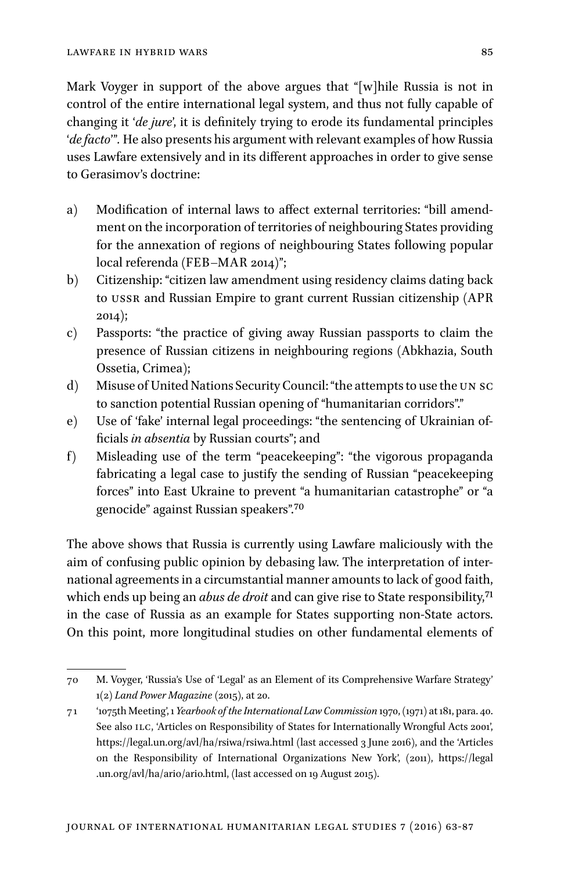Mark Voyger in support of the above argues that "[w]hile Russia is not in control of the entire international legal system, and thus not fully capable of changing it '*de jure*', it is definitely trying to erode its fundamental principles '*de facto*'"*.* He also presents his argument with relevant examples of how Russia uses Lawfare extensively and in its different approaches in order to give sense to Gerasimov's doctrine:

- a) Modification of internal laws to affect external territories: "bill amendment on the incorporation of territories of neighbouring States providing for the annexation of regions of neighbouring States following popular local referenda (FEB–MAR 2014)";
- b) Citizenship: "citizen law amendment using residency claims dating back to ussr and Russian Empire to grant current Russian citizenship (APR 2014);
- c) Passports: "the practice of giving away Russian passports to claim the presence of Russian citizens in neighbouring regions (Abkhazia, South Ossetia, Crimea);
- d) Misuse of United Nations Security Council: "the attempts to use the un sc to sanction potential Russian opening of "humanitarian corridors"."
- e) Use of 'fake' internal legal proceedings: "the sentencing of Ukrainian officials *in absentia* by Russian courts"; and
- f) Misleading use of the term "peacekeeping": "the vigorous propaganda fabricating a legal case to justify the sending of Russian "peacekeeping forces" into East Ukraine to prevent "a humanitarian catastrophe" or "a genocide" against Russian speakers".70

The above shows that Russia is currently using Lawfare maliciously with the aim of confusing public opinion by debasing law. The interpretation of international agreements in a circumstantial manner amounts to lack of good faith, which ends up being an *abus de droit* and can give rise to State responsibility,71 in the case of Russia as an example for States supporting non-State actors. On this point, more longitudinal studies on other fundamental elements of

<sup>70</sup> M. Voyger, 'Russia's Use of 'Legal' as an Element of its Comprehensive Warfare Strategy' 1(2) *Land Power Magazine* (2015), at 20.

<sup>71</sup> '1075th Meeting', 1 *Yearbook of the International Law Commission* 1970, (1971) at 181, para. 40. See also ILC, 'Articles on Responsibility of States for Internationally Wrongful Acts 2001', https://legal.un.org/avl/ha/rsiwa/rsiwa.html (last accessed 3 June 2016), and the 'Articles on the Responsibility of International Organizations New York', (2011), https://legal .un.org/avl/ha/ario/ario.html, (last accessed on 19 August 2015).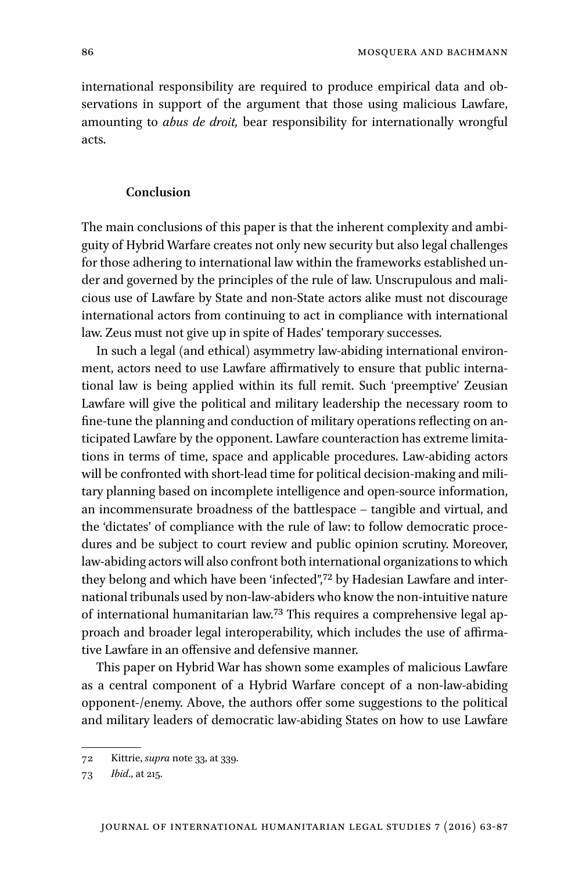international responsibility are required to produce empirical data and observations in support of the argument that those using malicious Lawfare, amounting to *abus de droit,* bear responsibility for internationally wrongful acts.

### **Conclusion**

The main conclusions of this paper is that the inherent complexity and ambiguity of Hybrid Warfare creates not only new security but also legal challenges for those adhering to international law within the frameworks established under and governed by the principles of the rule of law. Unscrupulous and malicious use of Lawfare by State and non-State actors alike must not discourage international actors from continuing to act in compliance with international law. Zeus must not give up in spite of Hades' temporary successes.

In such a legal (and ethical) asymmetry law-abiding international environment, actors need to use Lawfare affirmatively to ensure that public international law is being applied within its full remit. Such 'preemptive' Zeusian Lawfare will give the political and military leadership the necessary room to fine-tune the planning and conduction of military operations reflecting on anticipated Lawfare by the opponent. Lawfare counteraction has extreme limitations in terms of time, space and applicable procedures. Law-abiding actors will be confronted with short-lead time for political decision-making and military planning based on incomplete intelligence and open-source information, an incommensurate broadness of the battlespace – tangible and virtual, and the 'dictates' of compliance with the rule of law: to follow democratic procedures and be subject to court review and public opinion scrutiny. Moreover, law-abiding actors will also confront both international organizations to which they belong and which have been 'infected",<sup>72</sup> by Hadesian Lawfare and international tribunals used by non-law-abiders who know the non-intuitive nature of international humanitarian law.73 This requires a comprehensive legal approach and broader legal interoperability, which includes the use of affirmative Lawfare in an offensive and defensive manner.

This paper on Hybrid War has shown some examples of malicious Lawfare as a central component of a Hybrid Warfare concept of a non-law-abiding opponent-/enemy. Above, the authors offer some suggestions to the political and military leaders of democratic law-abiding States on how to use Lawfare

<sup>72</sup> Kittrie, *supra* note 33, at 339.

<sup>73</sup> *Ibid*., at 215.